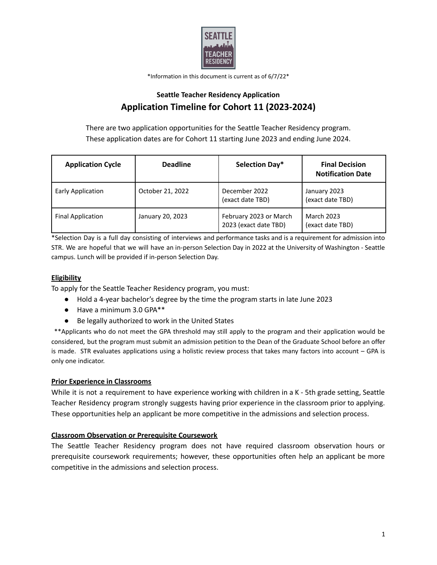

\*Information in this document is current as of 6/7/22\*

# **Seattle Teacher Residency Application Application Timeline for Cohort 11 (2023-2024)**

There are two application opportunities for the Seattle Teacher Residency program. These application dates are for Cohort 11 starting June 2023 and ending June 2024.

| <b>Application Cycle</b> | <b>Deadline</b>  | Selection Day*                                  | <b>Final Decision</b><br><b>Notification Date</b> |
|--------------------------|------------------|-------------------------------------------------|---------------------------------------------------|
| Early Application        | October 21, 2022 | December 2022<br>(exact date TBD)               | January 2023<br>(exact date TBD)                  |
| <b>Final Application</b> | January 20, 2023 | February 2023 or March<br>2023 (exact date TBD) | <b>March 2023</b><br>(exact date TBD)             |

\*Selection Day is a full day consisting of interviews and performance tasks and is a requirement for admission into STR. We are hopeful that we will have an in-person Selection Day in 2022 at the University of Washington - Seattle campus. Lunch will be provided if in-person Selection Day.

## **Eligibility**

To apply for the Seattle Teacher Residency program, you must:

- Hold a 4-year bachelor's degree by the time the program starts in late June 2023
- Have a minimum 3.0 GPA\*\*
- Be legally authorized to work in the United States

\*\*Applicants who do not meet the GPA threshold may still apply to the program and their application would be considered, but the program must submit an admission petition to the Dean of the Graduate School before an offer is made. STR evaluates applications using a holistic review process that takes many factors into account – GPA is only one indicator.

#### **Prior Experience in Classrooms**

While it is not a requirement to have experience working with children in a K - 5th grade setting, Seattle Teacher Residency program strongly suggests having prior experience in the classroom prior to applying. These opportunities help an applicant be more competitive in the admissions and selection process.

#### **Classroom Observation or Prerequisite Coursework**

The Seattle Teacher Residency program does not have required classroom observation hours or prerequisite coursework requirements; however, these opportunities often help an applicant be more competitive in the admissions and selection process.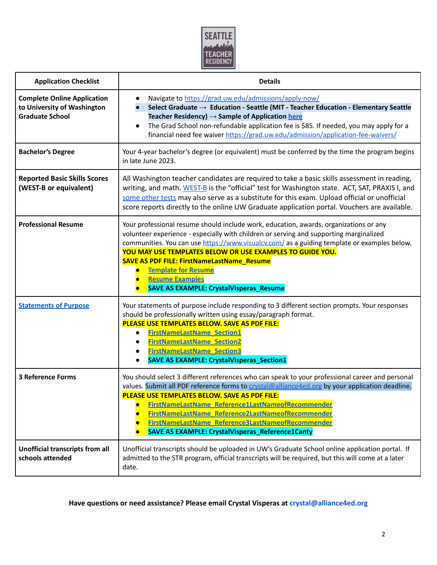

| <b>Application Checklist</b>                                                                | <b>Details</b>                                                                                                                                                                                                                                                                                                                                                                                                                                                                                                                       |  |  |
|---------------------------------------------------------------------------------------------|--------------------------------------------------------------------------------------------------------------------------------------------------------------------------------------------------------------------------------------------------------------------------------------------------------------------------------------------------------------------------------------------------------------------------------------------------------------------------------------------------------------------------------------|--|--|
| <b>Complete Online Application</b><br>to University of Washington<br><b>Graduate School</b> | Navigate to https://grad.uw.edu/admissions/apply-now/<br>$\bullet$<br>Select Graduate $\rightarrow$ Education - Seattle (MIT - Teacher Education - Elementary Seattle<br>Teacher Residency) $\rightarrow$ Sample of Application here<br>The Grad School non-refundable application fee is \$85. If needed, you may apply for a<br>$\bullet$<br>financial need fee waiver https://grad.uw.edu/admission/application-fee-waivers/                                                                                                      |  |  |
| <b>Bachelor's Degree</b>                                                                    | Your 4-year bachelor's degree (or equivalent) must be conferred by the time the program begins<br>in late June 2023.                                                                                                                                                                                                                                                                                                                                                                                                                 |  |  |
| <b>Reported Basic Skills Scores</b><br>(WEST-B or equivalent)                               | All Washington teacher candidates are required to take a basic skills assessment in reading,<br>writing, and math. WEST-B is the "official" test for Washington state. ACT, SAT, PRAXIS I, and<br>some other tests may also serve as a substitute for this exam. Upload official or unofficial<br>score reports directly to the online UW Graduate application portal. Vouchers are available.                                                                                                                                       |  |  |
| <b>Professional Resume</b>                                                                  | Your professional resume should include work, education, awards, organizations or any<br>volunteer experience - especially with children or serving and supporting marginalized<br>communities. You can use https://www.visualcv.com/ as a guiding template or examples below.<br>YOU MAY USE TEMPLATES BELOW OR USE EXAMPLES TO GUIDE YOU.<br><b>SAVE AS PDF FILE: FirstNameLastName_Resume</b><br><b>Template for Resume</b><br>$\bullet$<br><b>Resume Examples</b><br>$\bullet$<br><b>SAVE AS EXAMPLE: CrystalVisperas_Resume</b> |  |  |
| <b>Statements of Purpose</b>                                                                | Your statements of purpose include responding to 3 different section prompts. Your responses<br>should be professionally written using essay/paragraph format.<br>PLEASE USE TEMPLATES BELOW. SAVE AS PDF FILE:<br><b>FirstNameLastName_Section1</b><br>$\bullet$<br><b>FirstNameLastName_Section2</b><br><b>FirstNameLastName Section3</b><br><b>SAVE AS EXAMPLE: CrystalVisperas_Section1</b>                                                                                                                                      |  |  |
| <b>3 Reference Forms</b>                                                                    | You should select 3 different references who can speak to your professional career and personal<br>values. Submit all PDF reference forms to crystal@alliance4ed.org by your application deadline.<br>PLEASE USE TEMPLATES BELOW. SAVE AS PDF FILE:<br>FirstNameLastName Reference1LastNameofRecommender<br>FirstNameLastName Reference2LastNameofRecommender<br>FirstNameLastName_Reference3LastNameofRecommender<br><b>SAVE AS EXAMPLE: CrystalVisperas_Reference1Canty</b>                                                        |  |  |
| Unofficial transcripts from all<br>schools attended                                         | Unofficial transcripts should be uploaded in UW's Graduate School online application portal. If<br>admitted to the STR program, official transcripts will be required, but this will come at a later<br>date.                                                                                                                                                                                                                                                                                                                        |  |  |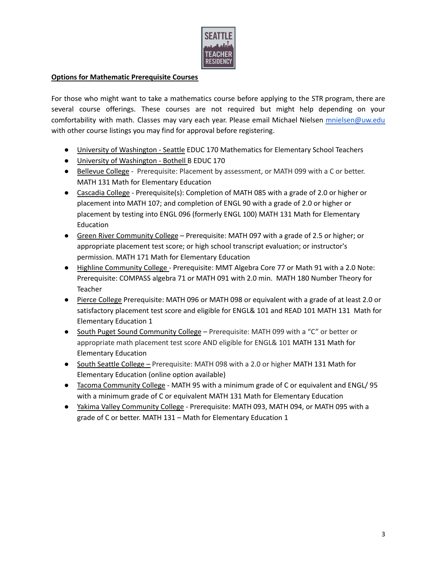

### **Options for Mathematic Prerequisite Courses**

For those who might want to take a mathematics course before applying to the STR program, there are several course offerings. These courses are not required but might help depending on your comfortability with math. Classes may vary each year. Please email Michael Nielsen [mnielsen@uw.edu](mailto:mnielsen@uw.edu) with other course listings you may find for approval before registering.

- University of Washington Seattle EDUC 170 Mathematics for Elementary School Teachers
- University of Washington Bothell B EDUC 170
- Bellevue College Prerequisite: Placement by assessment, or MATH 099 with a C or better. MATH 131 Math for Elementary Education
- Cascadia College Prerequisite(s): Completion of MATH 085 with a grade of 2.0 or higher or placement into MATH 107; and completion of ENGL 90 with a grade of 2.0 or higher or placement by testing into ENGL 096 (formerly ENGL 100) MATH 131 Math for Elementary **Education**
- Green River Community College Prerequisite: MATH 097 with a grade of 2.5 or higher; or appropriate placement test score; or high school transcript evaluation; or instructor's permission. MATH 171 Math for Elementary Education
- Highline Community College Prerequisite: MMT Algebra Core 77 or Math 91 with a 2.0 Note: Prerequisite: COMPASS algebra 71 or MATH 091 with 2.0 min. MATH 180 Number Theory for Teacher
- Pierce College Prerequisite: MATH 096 or MATH 098 or equivalent with a grade of at least 2.0 or satisfactory placement test score and eligible for ENGL& 101 and READ 101 MATH 131 Math for Elementary Education 1
- South Puget Sound Community College Prerequisite: MATH 099 with a "C" or better or appropriate math placement test score AND eligible for ENGL& 101 MATH 131 Math for Elementary Education
- South Seattle College Prerequisite: MATH 098 with a 2.0 or higher MATH 131 Math for Elementary Education (online option available)
- Tacoma Community College MATH 95 with a minimum grade of C or equivalent and ENGL/ 95 with a minimum grade of C or equivalent MATH 131 Math for Elementary Education
- Yakima Valley Community College Prerequisite: MATH 093, MATH 094, or MATH 095 with a grade of C or better. MATH 131 – Math for Elementary Education 1